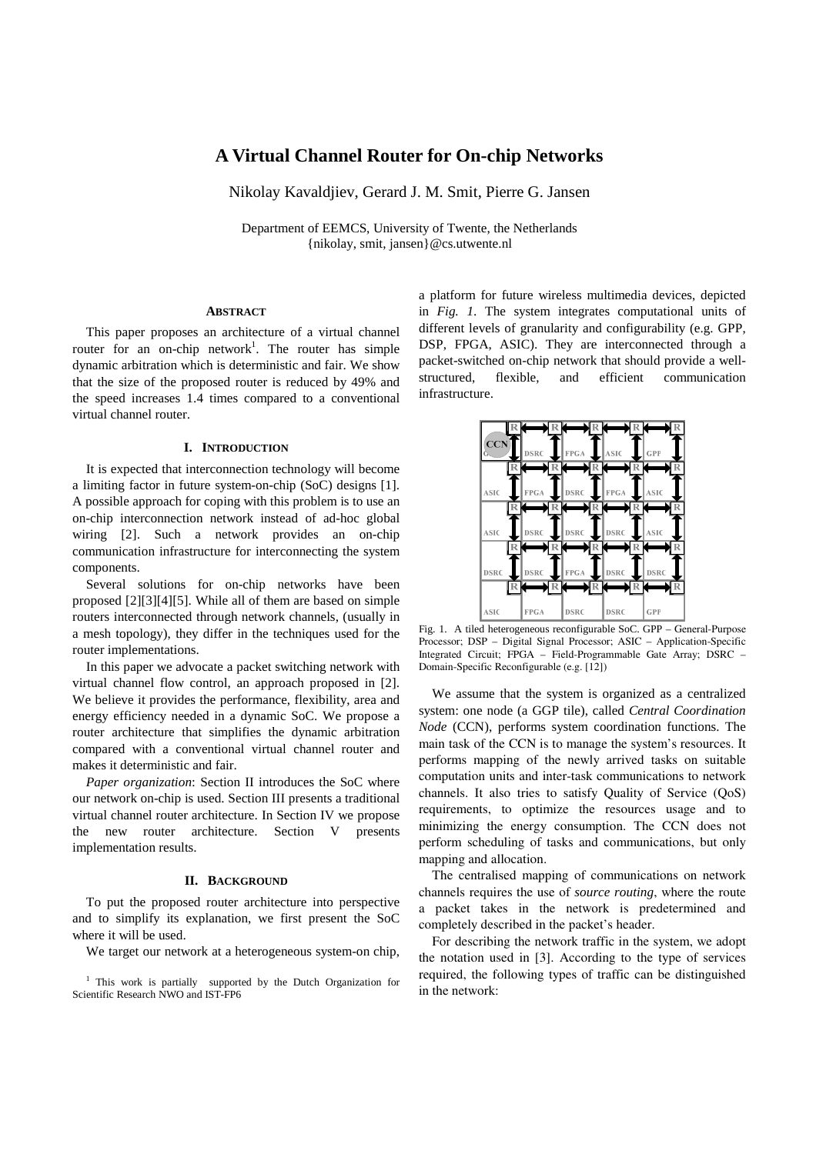# **A Virtual Channel Router for On-chip Networks**

Nikolay Kavaldjiev, Gerard J. M. Smit, Pierre G. Jansen

Department of EEMCS, University of Twente, the Netherlands {nikolay, smit, jansen}@cs.utwente.nl

#### **ABSTRACT**

This paper proposes an architecture of a virtual channel router for an on-chip network<sup>1</sup>. The router has simple dynamic arbitration which is deterministic and fair. We show that the size of the proposed router is reduced by 49% and the speed increases 1.4 times compared to a conventional virtual channel router.

# **I. INTRODUCTION**

It is expected that interconnection technology will become a limiting factor in future system-on-chip (SoC) designs [1]. A possible approach for coping with this problem is to use an on-chip interconnection network instead of ad-hoc global wiring [2]. Such a network provides an on-chip communication infrastructure for interconnecting the system components.

Several solutions for on-chip networks have been proposed [2][3][4][5]. While all of them are based on simple routers interconnected through network channels, (usually in a mesh topology), they differ in the techniques used for the router implementations.

In this paper we advocate a packet switching network with virtual channel flow control, an approach proposed in [2]. We believe it provides the performance, flexibility, area and energy efficiency needed in a dynamic SoC. We propose a router architecture that simplifies the dynamic arbitration compared with a conventional virtual channel router and makes it deterministic and fair.

*Paper organization*: Section II introduces the SoC where our network on-chip is used. Section III presents a traditional virtual channel router architecture. In Section IV we propose the new router architecture. Section V presents implementation results.

# **II. BACKGROUND**

To put the proposed router architecture into perspective and to simplify its explanation, we first present the SoC where it will be used.

We target our network at a heterogeneous system-on chip,

<sup>1</sup> This work is partially supported by the Dutch Organization for Scientific Research NWO and IST-FP6

a platform for future wireless multimedia devices, depicted in *Fig. 1*. The system integrates computational units of different levels of granularity and configurability (e.g. GPP, DSP, FPGA, ASIC). They are interconnected through a packet-switched on-chip network that should provide a wellstructured, flexible, and efficient communication infrastructure.



Fig. 1. A tiled heterogeneous reconfigurable SoC. GPP – General-Purpose Processor; DSP – Digital Signal Processor; ASIC – Application-Specific Integrated Circuit; FPGA – Field-Programmable Gate Array; DSRC – Domain-Specific Reconfigurable (e.g. [12])

We assume that the system is organized as a centralized system: one node (a GGP tile), called *Central Coordination Node* (CCN), performs system coordination functions. The main task of the CCN is to manage the system's resources. It performs mapping of the newly arrived tasks on suitable computation units and inter-task communications to network channels. It also tries to satisfy Quality of Service (QoS) requirements, to optimize the resources usage and to minimizing the energy consumption. The CCN does not perform scheduling of tasks and communications, but only mapping and allocation.

The centralised mapping of communications on network channels requires the use of *source routing*, where the route a packet takes in the network is predetermined and completely described in the packet's header.

For describing the network traffic in the system, we adopt the notation used in [3]. According to the type of services required, the following types of traffic can be distinguished in the network: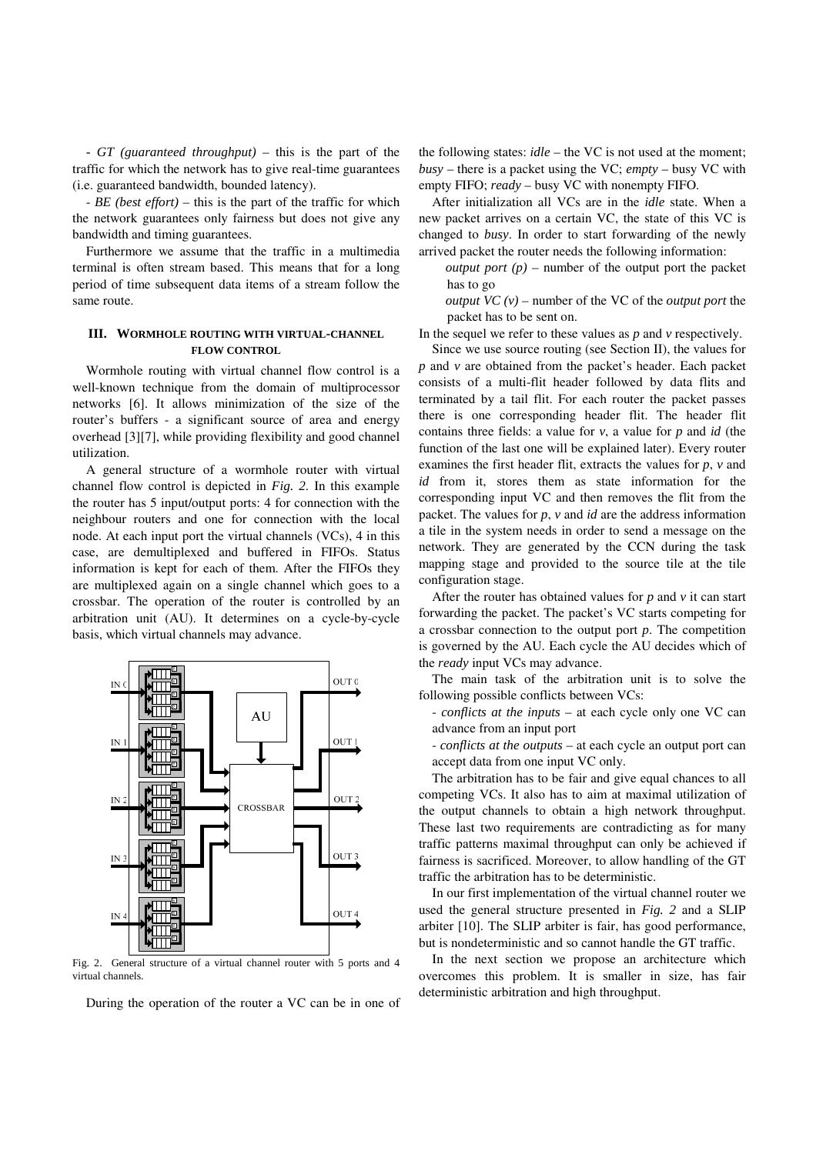- *GT (guaranteed throughput)* – this is the part of the traffic for which the network has to give real-time guarantees (i.e. guaranteed bandwidth, bounded latency).

- *BE (best effort)* – this is the part of the traffic for which the network guarantees only fairness but does not give any bandwidth and timing guarantees.

Furthermore we assume that the traffic in a multimedia terminal is often stream based. This means that for a long period of time subsequent data items of a stream follow the same route.

# **III. WORMHOLE ROUTING WITH VIRTUAL-CHANNEL FLOW CONTROL**

Wormhole routing with virtual channel flow control is a well-known technique from the domain of multiprocessor networks [6]. It allows minimization of the size of the router's buffers - a significant source of area and energy overhead [3][7], while providing flexibility and good channel utilization.

A general structure of a wormhole router with virtual channel flow control is depicted in *Fig. 2*. In this example the router has 5 input/output ports: 4 for connection with the neighbour routers and one for connection with the local node. At each input port the virtual channels (VCs), 4 in this case, are demultiplexed and buffered in FIFOs. Status information is kept for each of them. After the FIFOs they are multiplexed again on a single channel which goes to a crossbar. The operation of the router is controlled by an arbitration unit (AU). It determines on a cycle-by-cycle basis, which virtual channels may advance.



Fig. 2. General structure of a virtual channel router with 5 ports and 4 virtual channels.

During the operation of the router a VC can be in one of

the following states: *idle* – the VC is not used at the moment; *busy* – there is a packet using the VC; *empty* – busy VC with empty FIFO; *ready* – busy VC with nonempty FIFO.

After initialization all VCs are in the *idle* state. When a new packet arrives on a certain VC, the state of this VC is changed to *busy*. In order to start forwarding of the newly arrived packet the router needs the following information:

*output port*  $(p)$  – number of the output port the packet has to go

*output VC*  $(v)$  – number of the VC of the *output port* the packet has to be sent on.

In the sequel we refer to these values as *p* and *v* respectively.

Since we use source routing (see Section II), the values for *p* and *v* are obtained from the packet's header. Each packet consists of a multi-flit header followed by data flits and terminated by a tail flit. For each router the packet passes there is one corresponding header flit. The header flit contains three fields: a value for *v*, a value for *p* and *id* (the function of the last one will be explained later). Every router examines the first header flit, extracts the values for *p*, *v* and *id* from it, stores them as state information for the corresponding input VC and then removes the flit from the packet. The values for *p*, *v* and *id* are the address information a tile in the system needs in order to send a message on the network. They are generated by the CCN during the task mapping stage and provided to the source tile at the tile configuration stage.

After the router has obtained values for *p* and *v* it can start forwarding the packet. The packet's VC starts competing for a crossbar connection to the output port *p*. The competition is governed by the AU. Each cycle the AU decides which of the *ready* input VCs may advance.

The main task of the arbitration unit is to solve the following possible conflicts between VCs:

- *conflicts at the inputs* – at each cycle only one VC can advance from an input port

- *conflicts at the outputs* – at each cycle an output port can accept data from one input VC only.

The arbitration has to be fair and give equal chances to all competing VCs. It also has to aim at maximal utilization of the output channels to obtain a high network throughput. These last two requirements are contradicting as for many traffic patterns maximal throughput can only be achieved if fairness is sacrificed. Moreover, to allow handling of the GT traffic the arbitration has to be deterministic.

In our first implementation of the virtual channel router we used the general structure presented in *Fig. 2* and a SLIP arbiter [10]. The SLIP arbiter is fair, has good performance, but is nondeterministic and so cannot handle the GT traffic.

In the next section we propose an architecture which overcomes this problem. It is smaller in size, has fair deterministic arbitration and high throughput.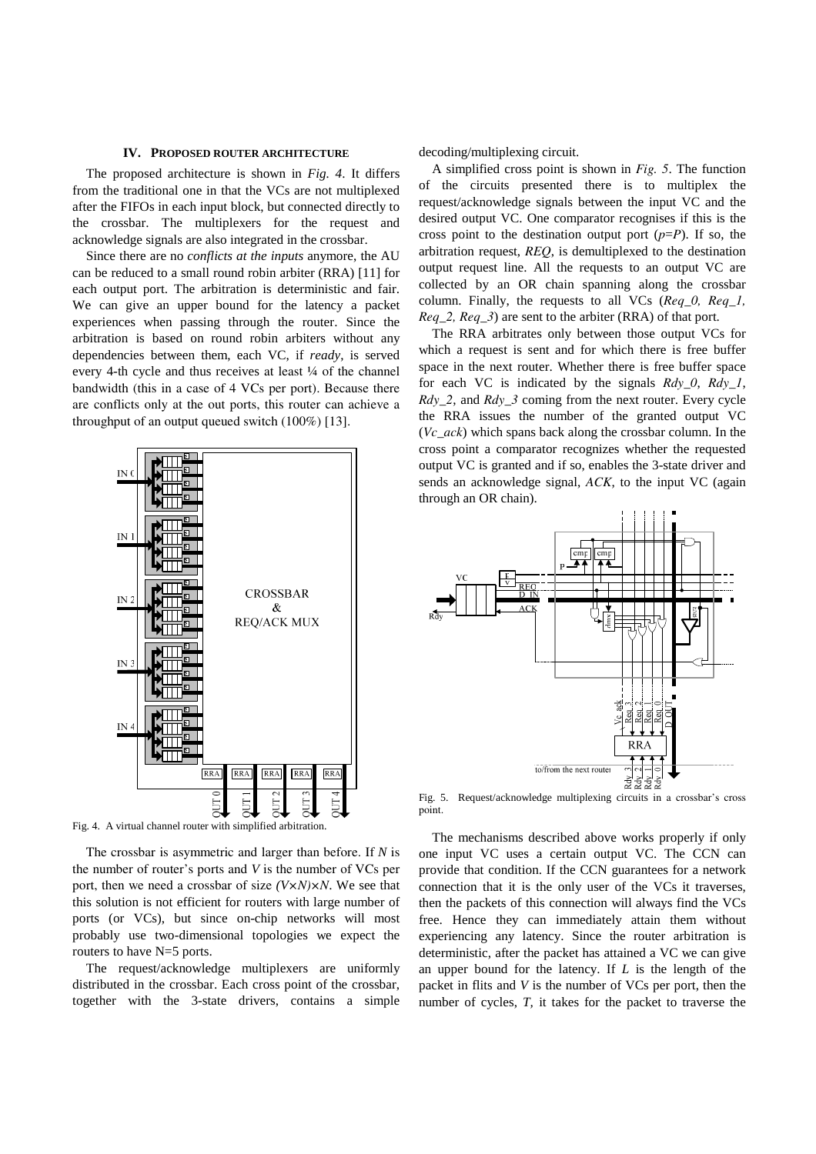#### **IV. PROPOSED ROUTER ARCHITECTURE**

The proposed architecture is shown in *Fig. 4*. It differs from the traditional one in that the VCs are not multiplexed after the FIFOs in each input block, but connected directly to the crossbar. The multiplexers for the request and acknowledge signals are also integrated in the crossbar.

Since there are no *conflicts at the inputs* anymore, the AU can be reduced to a small round robin arbiter (RRA) [11] for each output port. The arbitration is deterministic and fair. We can give an upper bound for the latency a packet experiences when passing through the router. Since the arbitration is based on round robin arbiters without any dependencies between them, each VC, if *ready*, is served every 4-th cycle and thus receives at least ¼ of the channel bandwidth (this in a case of 4 VCs per port). Because there are conflicts only at the out ports, this router can achieve a throughput of an output queued switch (100%) [13].



Fig. 4. A virtual channel router with simplified arbitration.

The crossbar is asymmetric and larger than before. If *N* is the number of router's ports and *V* is the number of VCs per port, then we need a crossbar of size *(V×N)×N*. We see that this solution is not efficient for routers with large number of ports (or VCs), but since on-chip networks will most probably use two-dimensional topologies we expect the routers to have N=5 ports.

The request/acknowledge multiplexers are uniformly distributed in the crossbar. Each cross point of the crossbar, together with the 3-state drivers, contains a simple decoding/multiplexing circuit.

A simplified cross point is shown in *Fig. 5*. The function of the circuits presented there is to multiplex the request/acknowledge signals between the input VC and the desired output VC. One comparator recognises if this is the cross point to the destination output port  $(p=P)$ . If so, the arbitration request, *REQ*, is demultiplexed to the destination output request line. All the requests to an output VC are collected by an OR chain spanning along the crossbar column. Finally, the requests to all VCs (*Req\_0, Req\_1, Req\_2, Req\_3*) are sent to the arbiter (RRA) of that port.

The RRA arbitrates only between those output VCs for which a request is sent and for which there is free buffer space in the next router. Whether there is free buffer space for each VC is indicated by the signals *Rdy\_0*, *Rdy\_1*, *Rdy\_2*, and *Rdy\_3* coming from the next router. Every cycle the RRA issues the number of the granted output VC (*Vc\_ack*) which spans back along the crossbar column. In the cross point a comparator recognizes whether the requested output VC is granted and if so, enables the 3-state driver and sends an acknowledge signal, *ACK*, to the input VC (again through an OR chain).



Fig. 5. Request/acknowledge multiplexing circuits in a crossbar's cross point.

The mechanisms described above works properly if only one input VC uses a certain output VC. The CCN can provide that condition. If the CCN guarantees for a network connection that it is the only user of the VCs it traverses, then the packets of this connection will always find the VCs free. Hence they can immediately attain them without experiencing any latency. Since the router arbitration is deterministic, after the packet has attained a VC we can give an upper bound for the latency. If *L* is the length of the packet in flits and *V* is the number of VCs per port, then the number of cycles, *T,* it takes for the packet to traverse the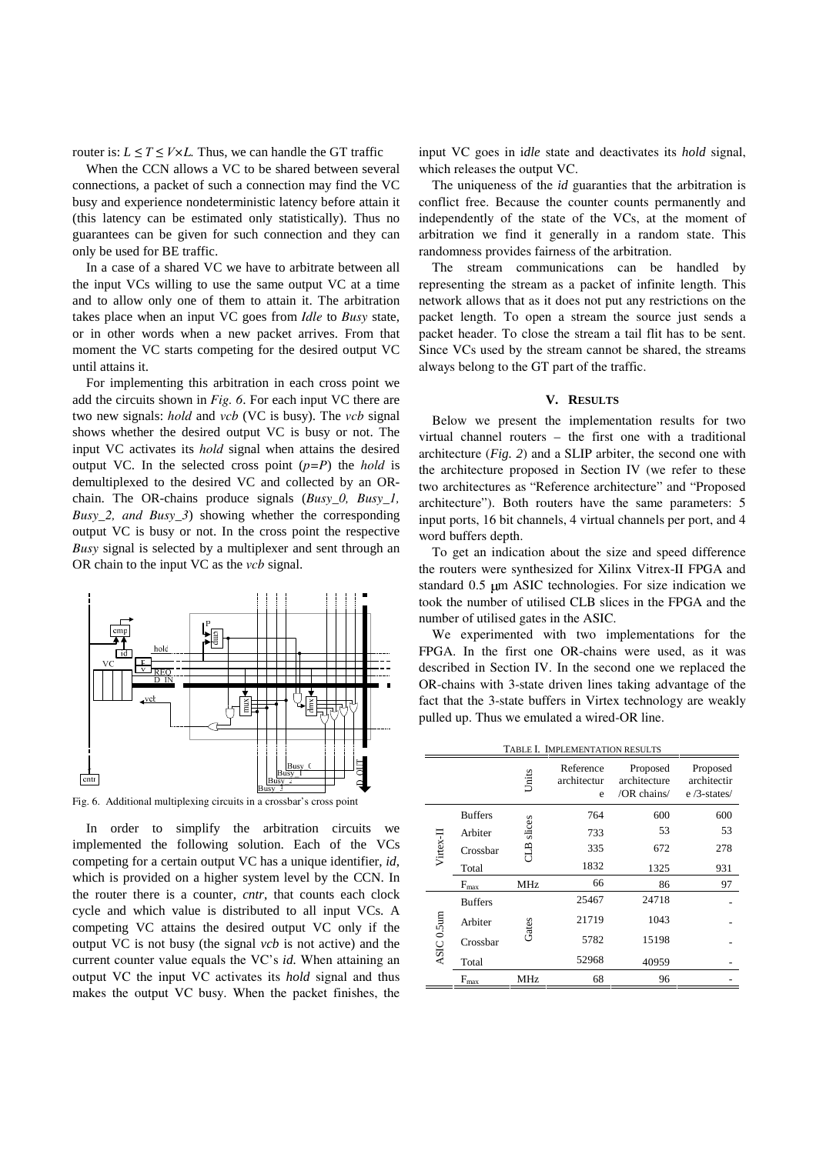router is:  $L \leq T \leq V \times L$ . Thus, we can handle the GT traffic

When the CCN allows a VC to be shared between several connections, a packet of such a connection may find the VC busy and experience nondeterministic latency before attain it (this latency can be estimated only statistically). Thus no guarantees can be given for such connection and they can only be used for BE traffic.

In a case of a shared VC we have to arbitrate between all the input VCs willing to use the same output VC at a time and to allow only one of them to attain it. The arbitration takes place when an input VC goes from *Idle* to *Busy* state, or in other words when a new packet arrives. From that moment the VC starts competing for the desired output VC until attains it.

For implementing this arbitration in each cross point we add the circuits shown in *Fig. 6*. For each input VC there are two new signals: *hold* and *vcb* (VC is busy). The *vcb* signal shows whether the desired output VC is busy or not. The input VC activates its *hold* signal when attains the desired output VC. In the selected cross point (*p=P*) the *hold* is demultiplexed to the desired VC and collected by an ORchain. The OR-chains produce signals (*Busy\_0, Busy\_1, Busy\_2, and Busy\_3*) showing whether the corresponding output VC is busy or not. In the cross point the respective *Busy* signal is selected by a multiplexer and sent through an OR chain to the input VC as the *vcb* signal.



Fig. 6. Additional multiplexing circuits in a crossbar's cross point

In order to simplify the arbitration circuits we implemented the following solution. Each of the VCs competing for a certain output VC has a unique identifier, *id*, which is provided on a higher system level by the CCN. In the router there is a counter, *cntr*, that counts each clock cycle and which value is distributed to all input VCs. A competing VC attains the desired output VC only if the output VC is not busy (the signal *vcb* is not active) and the current counter value equals the VC's *id.* When attaining an output VC the input VC activates its *hold* signal and thus makes the output VC busy. When the packet finishes, the

input VC goes in i*dle* state and deactivates its *hold* signal, which releases the output VC.

The uniqueness of the *id* guaranties that the arbitration is conflict free. Because the counter counts permanently and independently of the state of the VCs, at the moment of arbitration we find it generally in a random state. This randomness provides fairness of the arbitration.

The stream communications can be handled by representing the stream as a packet of infinite length. This network allows that as it does not put any restrictions on the packet length. To open a stream the source just sends a packet header. To close the stream a tail flit has to be sent. Since VCs used by the stream cannot be shared, the streams always belong to the GT part of the traffic.

### **V. RESULTS**

Below we present the implementation results for two virtual channel routers – the first one with a traditional architecture (*Fig. 2*) and a SLIP arbiter, the second one with the architecture proposed in Section IV (we refer to these two architectures as "Reference architecture" and "Proposed architecture"). Both routers have the same parameters: 5 input ports, 16 bit channels, 4 virtual channels per port, and 4 word buffers depth.

To get an indication about the size and speed difference the routers were synthesized for Xilinx Vitrex-II FPGA and standard 0.5 µm ASIC technologies. For size indication we took the number of utilised CLB slices in the FPGA and the number of utilised gates in the ASIC.

We experimented with two implementations for the FPGA. In the first one OR-chains were used, as it was described in Section IV. In the second one we replaced the OR-chains with 3-state driven lines taking advantage of the fact that the 3-state buffers in Virtex technology are weakly pulled up. Thus we emulated a wired-OR line.

| TABLE I. IMPLEMENTATION RESULTS |                       |                    |                               |                                         |                                           |
|---------------------------------|-----------------------|--------------------|-------------------------------|-----------------------------------------|-------------------------------------------|
|                                 |                       | Units              | Reference<br>architectur<br>e | Proposed<br>architecture<br>/OR chains/ | Proposed<br>architectir<br>$e/3$ -states/ |
| Virtex-I                        | <b>Buffers</b>        | slices<br><b>A</b> | 764                           | 600                                     | 600                                       |
|                                 | Arbiter               |                    | 733                           | 53                                      | 53                                        |
|                                 | Crossbar              |                    | 335                           | 672                                     | 278                                       |
|                                 | Total                 |                    | 1832                          | 1325                                    | 931                                       |
|                                 | $F_{\underline{max}}$ | MHz                | 66                            | 86                                      | 97                                        |
| ASIC <sub>0.5um</sub>           | <b>Buffers</b>        | Gates              | 25467                         | 24718                                   |                                           |
|                                 | Arbiter               |                    | 21719                         | 1043                                    |                                           |
|                                 | Crossbar              |                    | 5782                          | 15198                                   |                                           |
|                                 | Total                 |                    | 52968                         | 40959                                   |                                           |
|                                 | $F_{\underline{max}}$ | MHz                | 68                            | 96                                      |                                           |